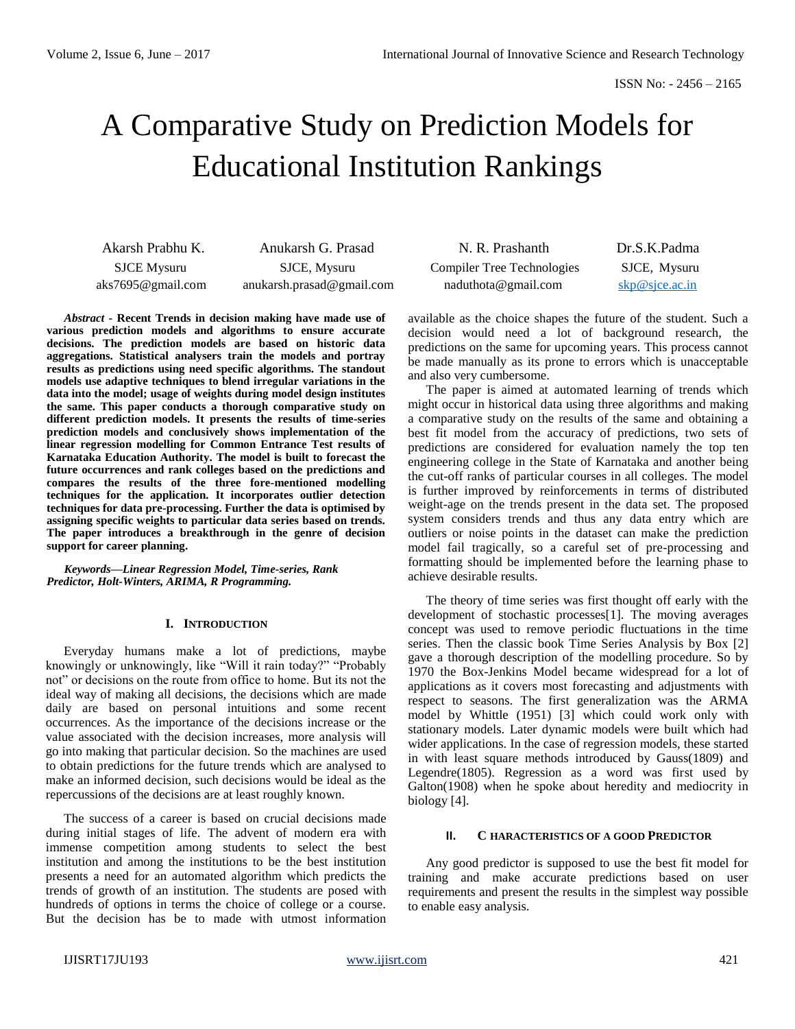# A Comparative Study on Prediction Models for Educational Institution Rankings

| Akarsh Prabhu K.   | Anukarsh G. Prasad         |
|--------------------|----------------------------|
| <b>SJCE</b> Mysuru | SJCE, Mysuru               |
| aks7695@gmail.com  | anukarsh. prasad@gmail.com |

*Abstract* **- Recent Trends in decision making have made use of various prediction models and algorithms to ensure accurate decisions. The prediction models are based on historic data aggregations. Statistical analysers train the models and portray results as predictions using need specific algorithms. The standout models use adaptive techniques to blend irregular variations in the data into the model; usage of weights during model design institutes the same. This paper conducts a thorough comparative study on different prediction models. It presents the results of time-series prediction models and conclusively shows implementation of the linear regression modelling for Common Entrance Test results of Karnataka Education Authority. The model is built to forecast the future occurrences and rank colleges based on the predictions and compares the results of the three fore-mentioned modelling techniques for the application. It incorporates outlier detection techniques for data pre-processing. Further the data is optimised by assigning specific weights to particular data series based on trends. The paper introduces a breakthrough in the genre of decision support for career planning.**

*Keywords***—***Linear Regression Model, Time-series, Rank Predictor, Holt-Winters, ARIMA, R Programming.*

#### **I. INTRODUCTION**

Everyday humans make a lot of predictions, maybe knowingly or unknowingly, like "Will it rain today?" "Probably not" or decisions on the route from office to home. But its not the ideal way of making all decisions, the decisions which are made daily are based on personal intuitions and some recent occurrences. As the importance of the decisions increase or the value associated with the decision increases, more analysis will go into making that particular decision. So the machines are used to obtain predictions for the future trends which are analysed to make an informed decision, such decisions would be ideal as the repercussions of the decisions are at least roughly known.

The success of a career is based on crucial decisions made during initial stages of life. The advent of modern era with immense competition among students to select the best institution and among the institutions to be the best institution presents a need for an automated algorithm which predicts the trends of growth of an institution. The students are posed with hundreds of options in terms the choice of college or a course. But the decision has be to made with utmost information

| N. R. Prashanth                   | Dr.S.K.Padma                    |
|-----------------------------------|---------------------------------|
| <b>Compiler Tree Technologies</b> | SJCE, Mysuru                    |
| $n$ aduthota@gmail.com            | $skip@simeq$ skp $@s$ jce.ac.in |

available as the choice shapes the future of the student. Such a decision would need a lot of background research, the predictions on the same for upcoming years. This process cannot be made manually as its prone to errors which is unacceptable and also very cumbersome.

The paper is aimed at automated learning of trends which might occur in historical data using three algorithms and making a comparative study on the results of the same and obtaining a best fit model from the accuracy of predictions, two sets of predictions are considered for evaluation namely the top ten engineering college in the State of Karnataka and another being the cut-off ranks of particular courses in all colleges. The model is further improved by reinforcements in terms of distributed weight-age on the trends present in the data set. The proposed system considers trends and thus any data entry which are outliers or noise points in the dataset can make the prediction model fail tragically, so a careful set of pre-processing and formatting should be implemented before the learning phase to achieve desirable results.

The theory of time series was first thought off early with the development of stochastic processes[1]. The moving averages concept was used to remove periodic fluctuations in the time series. Then the classic book Time Series Analysis by Box [2] gave a thorough description of the modelling procedure. So by 1970 the Box-Jenkins Model became widespread for a lot of applications as it covers most forecasting and adjustments with respect to seasons. The first generalization was the ARMA model by Whittle (1951) [3] which could work only with stationary models. Later dynamic models were built which had wider applications. In the case of regression models, these started in with least square methods introduced by Gauss(1809) and Legendre(1805). Regression as a word was first used by Galton(1908) when he spoke about heredity and mediocrity in biology [4].

#### **II. C HARACTERISTICS OF A GOOD PREDICTOR**

Any good predictor is supposed to use the best fit model for training and make accurate predictions based on user requirements and present the results in the simplest way possible to enable easy analysis.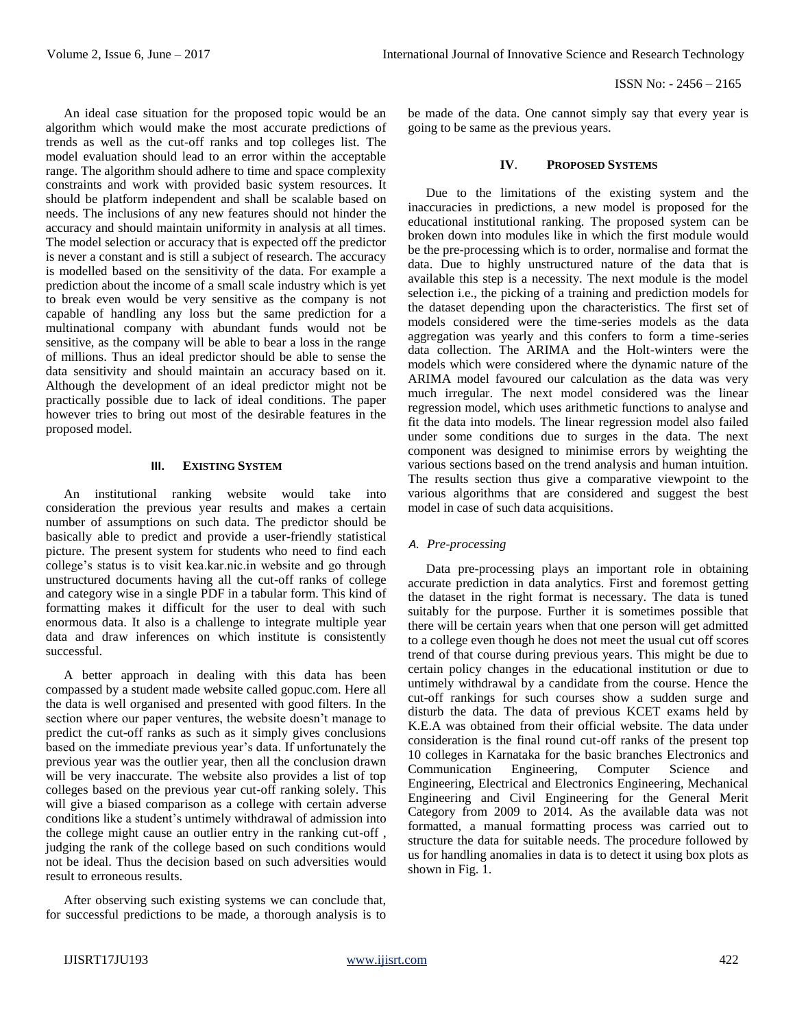An ideal case situation for the proposed topic would be an algorithm which would make the most accurate predictions of trends as well as the cut-off ranks and top colleges list. The model evaluation should lead to an error within the acceptable range. The algorithm should adhere to time and space complexity constraints and work with provided basic system resources. It should be platform independent and shall be scalable based on needs. The inclusions of any new features should not hinder the accuracy and should maintain uniformity in analysis at all times. The model selection or accuracy that is expected off the predictor is never a constant and is still a subject of research. The accuracy is modelled based on the sensitivity of the data. For example a prediction about the income of a small scale industry which is yet to break even would be very sensitive as the company is not capable of handling any loss but the same prediction for a multinational company with abundant funds would not be sensitive, as the company will be able to bear a loss in the range of millions. Thus an ideal predictor should be able to sense the data sensitivity and should maintain an accuracy based on it. Although the development of an ideal predictor might not be practically possible due to lack of ideal conditions. The paper however tries to bring out most of the desirable features in the proposed model.

#### **III. EXISTING SYSTEM**

An institutional ranking website would take into consideration the previous year results and makes a certain number of assumptions on such data. The predictor should be basically able to predict and provide a user-friendly statistical picture. The present system for students who need to find each college's status is to visit kea.kar.nic.in website and go through unstructured documents having all the cut-off ranks of college and category wise in a single PDF in a tabular form. This kind of formatting makes it difficult for the user to deal with such enormous data. It also is a challenge to integrate multiple year data and draw inferences on which institute is consistently successful.

A better approach in dealing with this data has been compassed by a student made website called gopuc.com. Here all the data is well organised and presented with good filters. In the section where our paper ventures, the website doesn't manage to predict the cut-off ranks as such as it simply gives conclusions based on the immediate previous year's data. If unfortunately the previous year was the outlier year, then all the conclusion drawn will be very inaccurate. The website also provides a list of top colleges based on the previous year cut-off ranking solely. This will give a biased comparison as a college with certain adverse conditions like a student's untimely withdrawal of admission into the college might cause an outlier entry in the ranking cut-off , judging the rank of the college based on such conditions would not be ideal. Thus the decision based on such adversities would result to erroneous results.

After observing such existing systems we can conclude that, for successful predictions to be made, a thorough analysis is to be made of the data. One cannot simply say that every year is going to be same as the previous years.

#### **IV**. **PROPOSED SYSTEMS**

Due to the limitations of the existing system and the inaccuracies in predictions, a new model is proposed for the educational institutional ranking. The proposed system can be broken down into modules like in which the first module would be the pre-processing which is to order, normalise and format the data. Due to highly unstructured nature of the data that is available this step is a necessity. The next module is the model selection i.e., the picking of a training and prediction models for the dataset depending upon the characteristics. The first set of models considered were the time-series models as the data aggregation was yearly and this confers to form a time-series data collection. The ARIMA and the Holt-winters were the models which were considered where the dynamic nature of the ARIMA model favoured our calculation as the data was very much irregular. The next model considered was the linear regression model, which uses arithmetic functions to analyse and fit the data into models. The linear regression model also failed under some conditions due to surges in the data. The next component was designed to minimise errors by weighting the various sections based on the trend analysis and human intuition. The results section thus give a comparative viewpoint to the various algorithms that are considered and suggest the best model in case of such data acquisitions.

#### *A. Pre-processing*

Data pre-processing plays an important role in obtaining accurate prediction in data analytics. First and foremost getting the dataset in the right format is necessary. The data is tuned suitably for the purpose. Further it is sometimes possible that there will be certain years when that one person will get admitted to a college even though he does not meet the usual cut off scores trend of that course during previous years. This might be due to certain policy changes in the educational institution or due to untimely withdrawal by a candidate from the course. Hence the cut-off rankings for such courses show a sudden surge and disturb the data. The data of previous KCET exams held by K.E.A was obtained from their official website. The data under consideration is the final round cut-off ranks of the present top 10 colleges in Karnataka for the basic branches Electronics and Communication Engineering, Computer Science and Engineering, Electrical and Electronics Engineering, Mechanical Engineering and Civil Engineering for the General Merit Category from 2009 to 2014. As the available data was not formatted, a manual formatting process was carried out to structure the data for suitable needs. The procedure followed by us for handling anomalies in data is to detect it using box plots as shown in Fig. 1.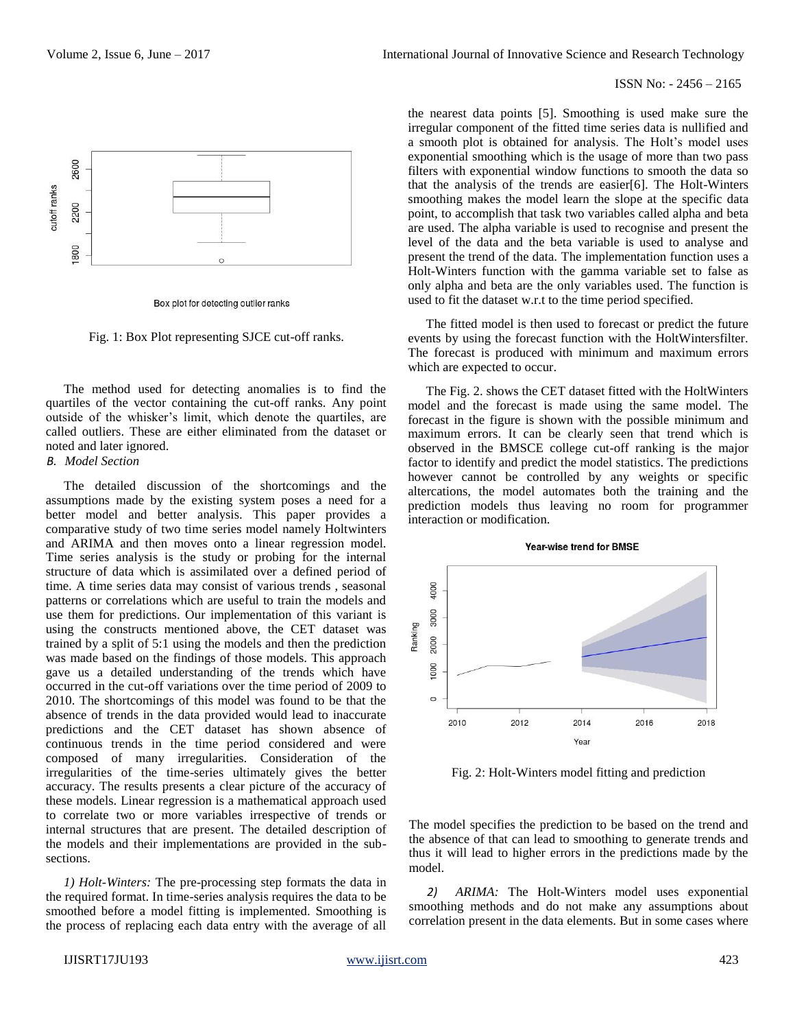

Box plot for detecting outlier ranks

Fig. 1: Box Plot representing SJCE cut-off ranks.

The method used for detecting anomalies is to find the quartiles of the vector containing the cut-off ranks. Any point outside of the whisker's limit, which denote the quartiles, are called outliers. These are either eliminated from the dataset or noted and later ignored.

#### *B. Model Section*

The detailed discussion of the shortcomings and the assumptions made by the existing system poses a need for a better model and better analysis. This paper provides a comparative study of two time series model namely Holtwinters and ARIMA and then moves onto a linear regression model. Time series analysis is the study or probing for the internal structure of data which is assimilated over a defined period of time. A time series data may consist of various trends , seasonal patterns or correlations which are useful to train the models and use them for predictions. Our implementation of this variant is using the constructs mentioned above, the CET dataset was trained by a split of 5:1 using the models and then the prediction was made based on the findings of those models. This approach gave us a detailed understanding of the trends which have occurred in the cut-off variations over the time period of 2009 to 2010. The shortcomings of this model was found to be that the absence of trends in the data provided would lead to inaccurate predictions and the CET dataset has shown absence of continuous trends in the time period considered and were composed of many irregularities. Consideration of the irregularities of the time-series ultimately gives the better accuracy. The results presents a clear picture of the accuracy of these models. Linear regression is a mathematical approach used to correlate two or more variables irrespective of trends or internal structures that are present. The detailed description of the models and their implementations are provided in the subsections.

*1) Holt-Winters:* The pre-processing step formats the data in the required format. In time-series analysis requires the data to be smoothed before a model fitting is implemented. Smoothing is the process of replacing each data entry with the average of all

the nearest data points [5]. Smoothing is used make sure the irregular component of the fitted time series data is nullified and a smooth plot is obtained for analysis. The Holt's model uses exponential smoothing which is the usage of more than two pass filters with exponential window functions to smooth the data so that the analysis of the trends are easier[6]. The Holt-Winters smoothing makes the model learn the slope at the specific data point, to accomplish that task two variables called alpha and beta are used. The alpha variable is used to recognise and present the level of the data and the beta variable is used to analyse and present the trend of the data. The implementation function uses a Holt-Winters function with the gamma variable set to false as only alpha and beta are the only variables used. The function is used to fit the dataset w.r.t to the time period specified.

The fitted model is then used to forecast or predict the future events by using the forecast function with the HoltWintersfilter. The forecast is produced with minimum and maximum errors which are expected to occur.

The Fig. 2. shows the CET dataset fitted with the HoltWinters model and the forecast is made using the same model. The forecast in the figure is shown with the possible minimum and maximum errors. It can be clearly seen that trend which is observed in the BMSCE college cut-off ranking is the major factor to identify and predict the model statistics. The predictions however cannot be controlled by any weights or specific altercations, the model automates both the training and the prediction models thus leaving no room for programmer interaction or modification.



**Year-wise trend for BMSE** 

Fig. 2: Holt-Winters model fitting and prediction

The model specifies the prediction to be based on the trend and the absence of that can lead to smoothing to generate trends and thus it will lead to higher errors in the predictions made by the model.

*2) ARIMA:* The Holt-Winters model uses exponential smoothing methods and do not make any assumptions about correlation present in the data elements. But in some cases where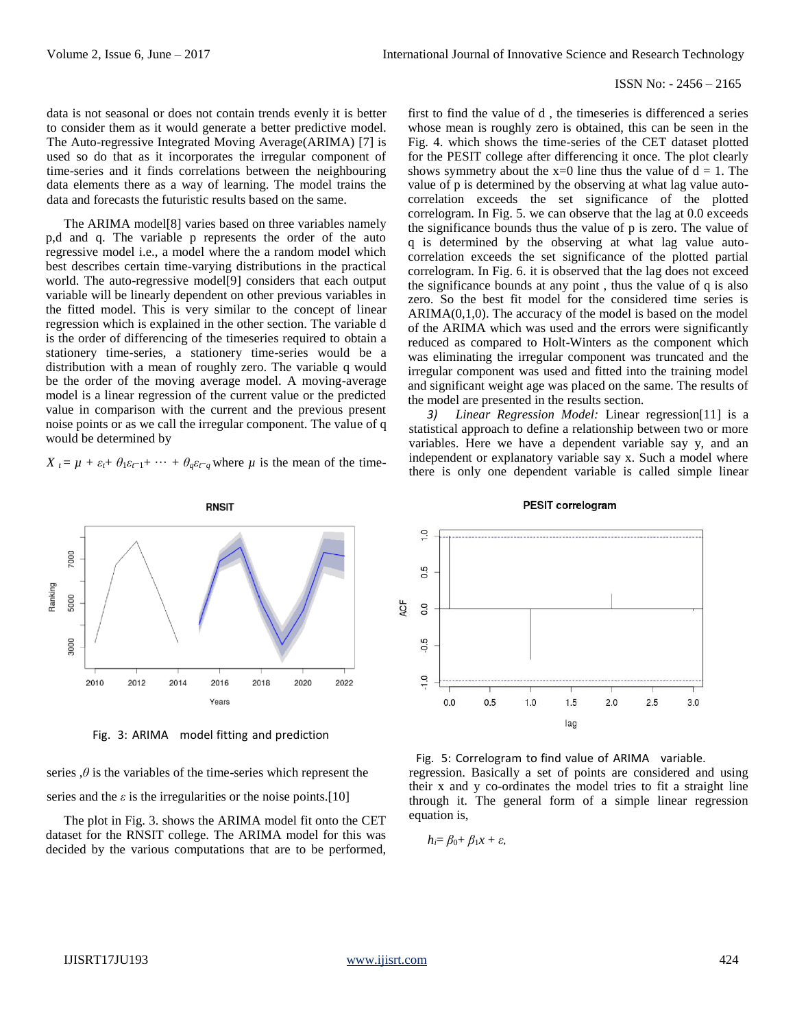data is not seasonal or does not contain trends evenly it is better to consider them as it would generate a better predictive model. The Auto-regressive Integrated Moving Average(ARIMA) [7] is used so do that as it incorporates the irregular component of time-series and it finds correlations between the neighbouring data elements there as a way of learning. The model trains the data and forecasts the futuristic results based on the same.

The ARIMA model[8] varies based on three variables namely p,d and q. The variable p represents the order of the auto regressive model i.e., a model where the a random model which best describes certain time-varying distributions in the practical world. The auto-regressive model[9] considers that each output variable will be linearly dependent on other previous variables in the fitted model. This is very similar to the concept of linear regression which is explained in the other section. The variable d is the order of differencing of the timeseries required to obtain a stationery time-series, a stationery time-series would be a distribution with a mean of roughly zero. The variable q would be the order of the moving average model. A moving-average model is a linear regression of the current value or the predicted value in comparison with the current and the previous present noise points or as we call the irregular component. The value of q would be determined by

 $X_t = \mu + \varepsilon_t + \theta_1 \varepsilon_{t-1} + \cdots + \theta_a \varepsilon_{t-a}$  where  $\mu$  is the mean of the time-



Fig. 3: ARIMA model fitting and prediction

series  $, \theta$  is the variables of the time-series which represent the series and the  $\varepsilon$  is the irregularities or the noise points.<sup>[10]</sup>

The plot in Fig. 3. shows the ARIMA model fit onto the CET dataset for the RNSIT college. The ARIMA model for this was decided by the various computations that are to be performed,

first to find the value of d , the timeseries is differenced a series whose mean is roughly zero is obtained, this can be seen in the Fig. 4. which shows the time-series of the CET dataset plotted for the PESIT college after differencing it once. The plot clearly shows symmetry about the  $x=0$  line thus the value of  $d = 1$ . The value of p is determined by the observing at what lag value autocorrelation exceeds the set significance of the plotted correlogram. In Fig. 5. we can observe that the lag at 0.0 exceeds the significance bounds thus the value of p is zero. The value of q is determined by the observing at what lag value autocorrelation exceeds the set significance of the plotted partial correlogram. In Fig. 6. it is observed that the lag does not exceed the significance bounds at any point , thus the value of q is also zero. So the best fit model for the considered time series is  $ARIMA(0,1,0)$ . The accuracy of the model is based on the model of the ARIMA which was used and the errors were significantly reduced as compared to Holt-Winters as the component which was eliminating the irregular component was truncated and the irregular component was used and fitted into the training model and significant weight age was placed on the same. The results of the model are presented in the results section.

*3) Linear Regression Model:* Linear regression[11] is a statistical approach to define a relationship between two or more variables. Here we have a dependent variable say y, and an independent or explanatory variable say x. Such a model where there is only one dependent variable is called simple linear

**PESIT correlogram** 



# regression. Basically a set of points are considered and using their x and y co-ordinates the model tries to fit a straight line through it. The general form of a simple linear regression Fig. 5: Correlogram to find value of ARIMA variable.

*hi*= *β*0+ *β*1*x* + *ε,*

equation is,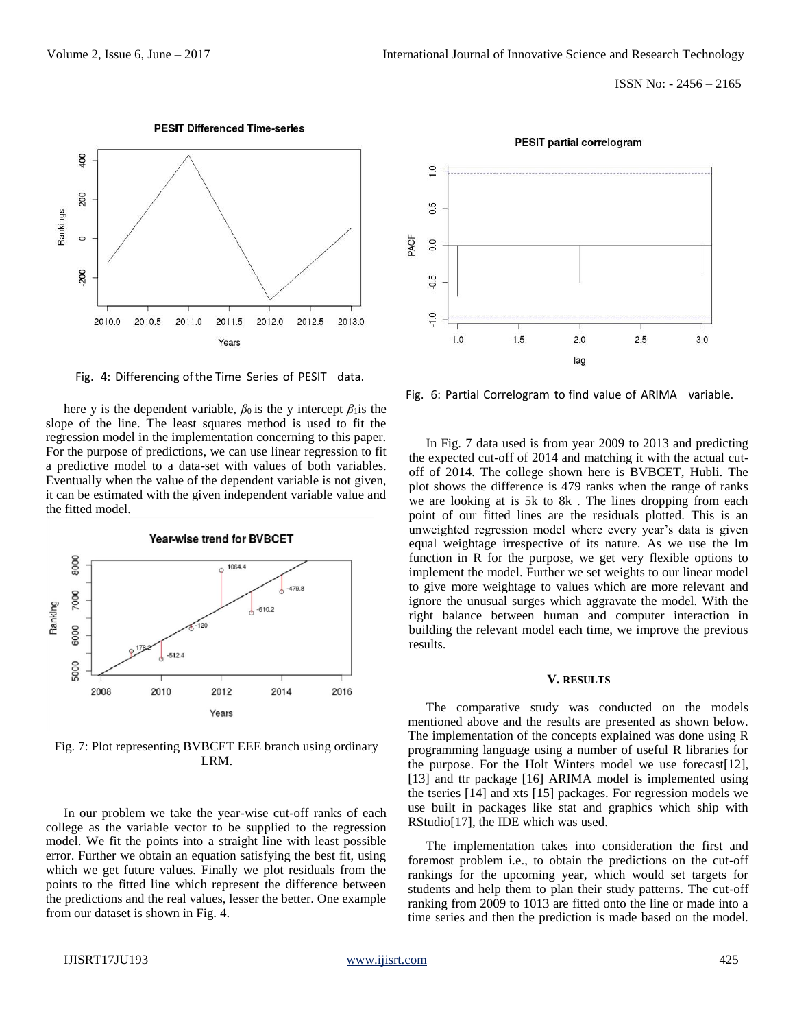

**PESIT Differenced Time-series** 

Fig. 4: Differencing ofthe Time Series of PESIT data.

here y is the dependent variable,  $\beta_0$  is the y intercept  $\beta_1$  is the slope of the line. The least squares method is used to fit the regression model in the implementation concerning to this paper. For the purpose of predictions, we can use linear regression to fit a predictive model to a data-set with values of both variables. Eventually when the value of the dependent variable is not given, it can be estimated with the given independent variable value and the fitted model.



Fig. 7: Plot representing BVBCET EEE branch using ordinary LRM.

In our problem we take the year-wise cut-off ranks of each college as the variable vector to be supplied to the regression model. We fit the points into a straight line with least possible error. Further we obtain an equation satisfying the best fit, using which we get future values. Finally we plot residuals from the points to the fitted line which represent the difference between the predictions and the real values, lesser the better. One example from our dataset is shown in Fig. 4.



Fig. 6: Partial Correlogram to find value of ARIMA variable.

In Fig. 7 data used is from year 2009 to 2013 and predicting the expected cut-off of 2014 and matching it with the actual cutoff of 2014. The college shown here is BVBCET, Hubli. The plot shows the difference is 479 ranks when the range of ranks we are looking at is 5k to 8k . The lines dropping from each point of our fitted lines are the residuals plotted. This is an unweighted regression model where every year's data is given equal weightage irrespective of its nature. As we use the lm function in R for the purpose, we get very flexible options to implement the model. Further we set weights to our linear model to give more weightage to values which are more relevant and ignore the unusual surges which aggravate the model. With the right balance between human and computer interaction in building the relevant model each time, we improve the previous results.

#### **V. RESULTS**

The comparative study was conducted on the models mentioned above and the results are presented as shown below. The implementation of the concepts explained was done using R programming language using a number of useful R libraries for the purpose. For the Holt Winters model we use forecast[12], [13] and ttr package [16] ARIMA model is implemented using the tseries [14] and xts [15] packages. For regression models we use built in packages like stat and graphics which ship with RStudio[17], the IDE which was used.

The implementation takes into consideration the first and foremost problem i.e., to obtain the predictions on the cut-off rankings for the upcoming year, which would set targets for students and help them to plan their study patterns. The cut-off ranking from 2009 to 1013 are fitted onto the line or made into a time series and then the prediction is made based on the model.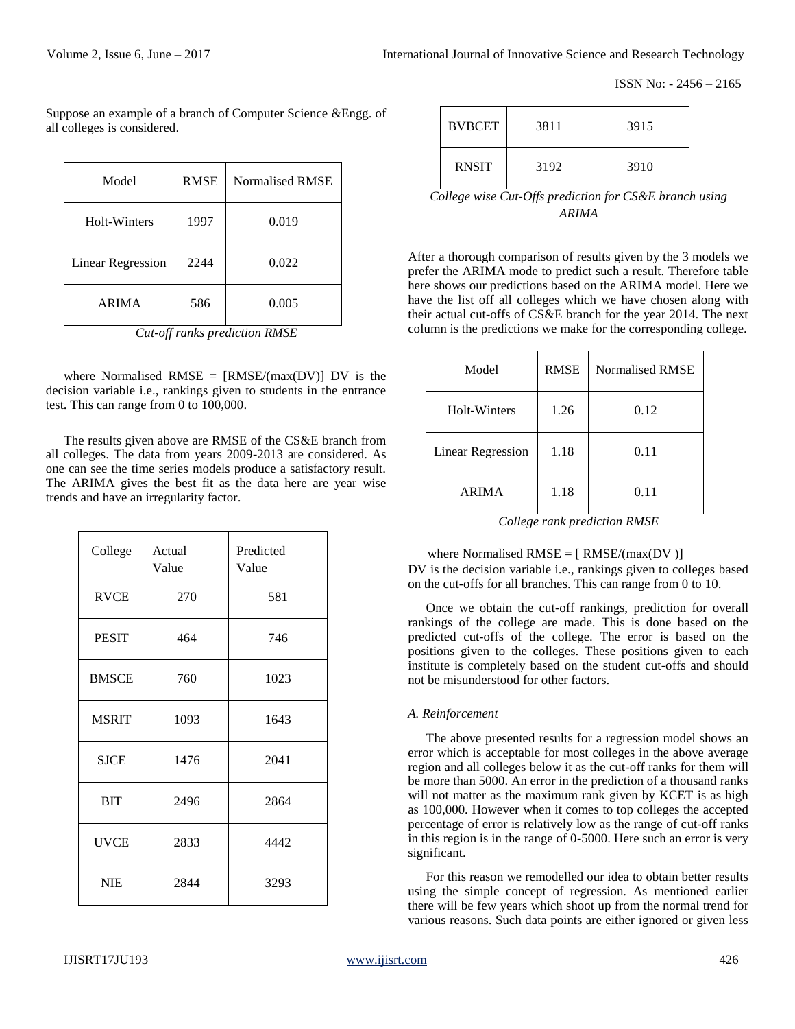ISSN No: - 2456 – 2165

Suppose an example of a branch of Computer Science &Engg. of all colleges is considered.

| Model                    | <b>RMSE</b> | Normalised RMSE |
|--------------------------|-------------|-----------------|
| Holt-Winters             | 1997        | 0.019           |
| <b>Linear Regression</b> | 2244        | 0.022           |
| <b>ARIMA</b>             | 586         | 0.005           |

*Cut-off ranks prediction RMSE*

where Normalised RMSE =  $[RMSE/(max(DV))]$  DV is the decision variable i.e., rankings given to students in the entrance test. This can range from 0 to 100,000.

The results given above are RMSE of the CS&E branch from all colleges. The data from years 2009-2013 are considered. As one can see the time series models produce a satisfactory result. The ARIMA gives the best fit as the data here are year wise trends and have an irregularity factor.

| College      | Actual<br>Value | Predicted<br>Value |
|--------------|-----------------|--------------------|
| <b>RVCE</b>  | 270             | 581                |
| <b>PESIT</b> | 464             | 746                |
| <b>BMSCE</b> | 760             | 1023               |
| <b>MSRIT</b> | 1093            | 1643               |
| <b>SJCE</b>  | 1476            | 2041               |
| <b>BIT</b>   | 2496            | 2864               |
| <b>UVCE</b>  | 2833            | 4442               |
| <b>NIE</b>   | 2844            | 3293               |

| <b>BVBCET</b> | 3811 | 3915 |
|---------------|------|------|
| <b>RNSIT</b>  | 3192 | 3910 |

*College wise Cut-Offs prediction for CS&E branch using ARIMA*

After a thorough comparison of results given by the 3 models we prefer the ARIMA mode to predict such a result. Therefore table here shows our predictions based on the ARIMA model. Here we have the list off all colleges which we have chosen along with their actual cut-offs of CS&E branch for the year 2014. The next column is the predictions we make for the corresponding college.

| Model                    | <b>RMSE</b> | Normalised RMSE |
|--------------------------|-------------|-----------------|
| Holt-Winters             | 1.26        | 0.12            |
| <b>Linear Regression</b> | 1.18        | 0.11            |
| <b>ARIMA</b>             | 1.18        | 0.11            |

*College rank prediction RMSE*

## where Normalised  $RMSE = [RMSE/(max(DV))]$

DV is the decision variable i.e., rankings given to colleges based on the cut-offs for all branches. This can range from 0 to 10.

Once we obtain the cut-off rankings, prediction for overall rankings of the college are made. This is done based on the predicted cut-offs of the college. The error is based on the positions given to the colleges. These positions given to each institute is completely based on the student cut-offs and should not be misunderstood for other factors.

#### *A. Reinforcement*

The above presented results for a regression model shows an error which is acceptable for most colleges in the above average region and all colleges below it as the cut-off ranks for them will be more than 5000. An error in the prediction of a thousand ranks will not matter as the maximum rank given by KCET is as high as 100,000. However when it comes to top colleges the accepted percentage of error is relatively low as the range of cut-off ranks in this region is in the range of 0-5000. Here such an error is very significant.

For this reason we remodelled our idea to obtain better results using the simple concept of regression. As mentioned earlier there will be few years which shoot up from the normal trend for various reasons. Such data points are either ignored or given less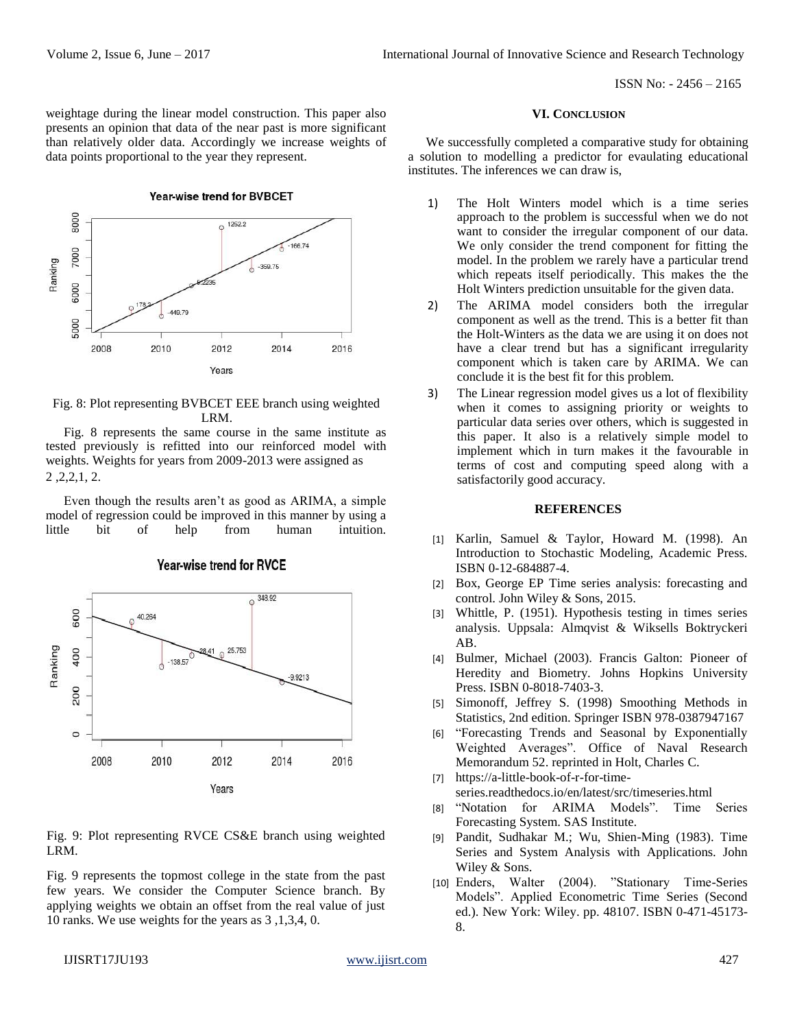weightage during the linear model construction. This paper also presents an opinion that data of the near past is more significant than relatively older data. Accordingly we increase weights of data points proportional to the year they represent.

Year-wise trend for BVBCET



Fig. 8: Plot representing BVBCET EEE branch using weighted LRM.

Fig. 8 represents the same course in the same institute as tested previously is refitted into our reinforced model with weights. Weights for years from 2009-2013 were assigned as 2 ,2,2,1, 2.

Even though the results aren't as good as ARIMA, a simple model of regression could be improved in this manner by using a little bit of help from human intuition.



**Year-wise trend for RVCE** 

Fig. 9: Plot representing RVCE CS&E branch using weighted LRM.

Fig. 9 represents the topmost college in the state from the past few years. We consider the Computer Science branch. By applying weights we obtain an offset from the real value of just 10 ranks. We use weights for the years as 3 ,1,3,4, 0.

#### **VI. CONCLUSION**

We successfully completed a comparative study for obtaining a solution to modelling a predictor for evaulating educational institutes. The inferences we can draw is,

- 1) The Holt Winters model which is a time series approach to the problem is successful when we do not want to consider the irregular component of our data. We only consider the trend component for fitting the model. In the problem we rarely have a particular trend which repeats itself periodically. This makes the the Holt Winters prediction unsuitable for the given data.
- 2) The ARIMA model considers both the irregular component as well as the trend. This is a better fit than the Holt-Winters as the data we are using it on does not have a clear trend but has a significant irregularity component which is taken care by ARIMA. We can conclude it is the best fit for this problem.
- 3) The Linear regression model gives us a lot of flexibility when it comes to assigning priority or weights to particular data series over others, which is suggested in this paper. It also is a relatively simple model to implement which in turn makes it the favourable in terms of cost and computing speed along with a satisfactorily good accuracy.

#### **REFERENCES**

- [1] Karlin, Samuel & Taylor, Howard M. (1998). An Introduction to Stochastic Modeling, Academic Press. ISBN 0-12-684887-4.
- [2] Box, George EP Time series analysis: forecasting and control. John Wiley & Sons, 2015.
- [3] Whittle, P. (1951). Hypothesis testing in times series analysis. Uppsala: Almqvist & Wiksells Boktryckeri AB.
- [4] Bulmer, Michael (2003). Francis Galton: Pioneer of Heredity and Biometry. Johns Hopkins University Press. ISBN 0-8018-7403-3.
- [5] Simonoff, Jeffrey S. (1998) Smoothing Methods in Statistics, 2nd edition. Springer ISBN 978-0387947167
- [6] "Forecasting Trends and Seasonal by Exponentially Weighted Averages". Office of Naval Research Memorandum 52. reprinted in Holt, Charles C.
- [7] https://a-little-book-of-r-for-timeseries.readthedocs.io/en/latest/src/timeseries.html
- [8] "Notation for ARIMA Models". Time Series Forecasting System. SAS Institute.
- [9] Pandit, Sudhakar M.; Wu, Shien-Ming (1983). Time Series and System Analysis with Applications. John Wiley & Sons.
- [10] Enders, Walter (2004). "Stationary Time-Series Models". Applied Econometric Time Series (Second ed.). New York: Wiley. pp. 48107. ISBN 0-471-45173- 8.